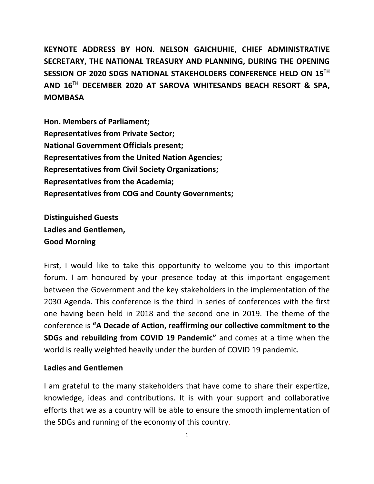**KEYNOTE ADDRESS BY HON. NELSON GAICHUHIE, CHIEF ADMINISTRATIVE SECRETARY, THE NATIONAL TREASURY AND PLANNING, DURING THE OPENING SESSION OF 2020 SDGS NATIONAL STAKEHOLDERS CONFERENCE HELD ON 15TH AND 16 TH DECEMBER 2020 AT SAROVA WHITESANDS BEACH RESORT & SPA, MOMBASA**

**Hon. Members of Parliament; Representatives from Private Sector; National Government Officials present; Representatives from the United Nation Agencies; Representatives from Civil Society Organizations; Representatives from the Academia; Representatives from COG and County Governments;**

**Distinguished Guests Ladies and Gentlemen, Good Morning** 

First, I would like to take this opportunity to welcome you to this important forum. I am honoured by your presence today at this important engagement between the Government and the key stakeholders in the implementation of the 2030 Agenda. This conference is the third in series of conferences with the first one having been held in 2018 and the second one in 2019. The theme of the conference is **"A Decade of Action, reaffirming our collective commitment to the SDGs and rebuilding from COVID 19 Pandemic"** and comes at a time when the world is really weighted heavily under the burden of COVID 19 pandemic.

# **Ladies and Gentlemen**

I am grateful to the many stakeholders that have come to share their expertize, knowledge, ideas and contributions. It is with your support and collaborative efforts that we as a country will be able to ensure the smooth implementation of the SDGs and running of the economy of this country.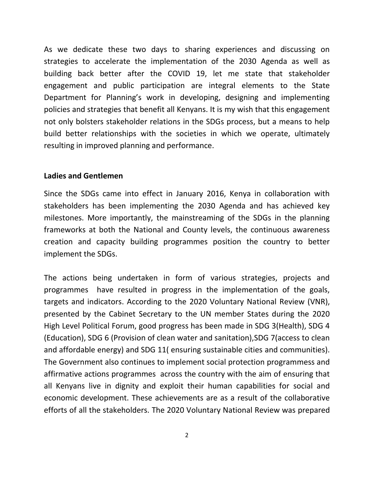As we dedicate these two days to sharing experiences and discussing on strategies to accelerate the implementation of the 2030 Agenda as well as building back better after the COVID 19, let me state that stakeholder engagement and public participation are integral elements to the State Department for Planning's work in developing, designing and implementing policies and strategies that benefit all Kenyans. It is my wish that this engagement not only bolsters stakeholder relations in the SDGs process, but a means to help build better relationships with the societies in which we operate, ultimately resulting in improved planning and performance.

### **Ladies and Gentlemen**

Since the SDGs came into effect in January 2016, Kenya in collaboration with stakeholders has been implementing the 2030 Agenda and has achieved key milestones. More importantly, the mainstreaming of the SDGs in the planning frameworks at both the National and County levels, the continuous awareness creation and capacity building programmes position the country to better implement the SDGs.

The actions being undertaken in form of various strategies, projects and programmes have resulted in progress in the implementation of the goals, targets and indicators. According to the 2020 Voluntary National Review (VNR), presented by the Cabinet Secretary to the UN member States during the 2020 High Level Political Forum, good progress has been made in SDG 3(Health), SDG 4 (Education), SDG 6 (Provision of clean water and sanitation),SDG 7(access to clean and affordable energy) and SDG 11( ensuring sustainable cities and communities). The Government also continues to implement social protection programmess and affirmative actions programmes across the country with the aim of ensuring that all Kenyans live in dignity and exploit their human capabilities for social and economic development. These achievements are as a result of the collaborative efforts of all the stakeholders. The 2020 Voluntary National Review was prepared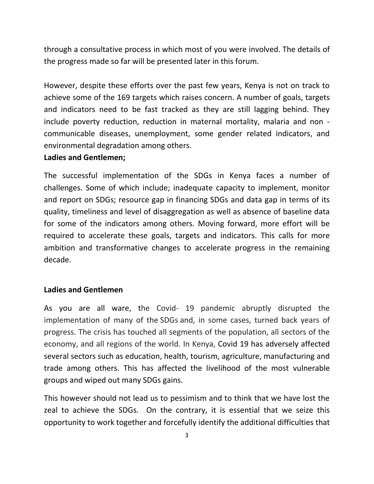through a consultative process in which most of you were involved. The details of the progress made so far will be presented later in this forum.

However, despite these efforts over the past few years, Kenya is not on track to achieve some of the 169 targets which raises concern. A number of goals, targets and indicators need to be fast tracked as they are still lagging behind. They include poverty reduction, reduction in maternal mortality, malaria and non communicable diseases, unemployment, some gender related indicators, and environmental degradation among others.

### **Ladies and Gentlemen;**

The successful implementation of the SDGs in Kenya faces a number of challenges. Some of which include; inadequate capacity to implement, monitor and report on SDGs; resource gap in financing SDGs and data gap in terms of its quality, timeliness and level of disaggregation as well as absence of baseline data for some of the indicators among others. Moving forward, more effort will be required to accelerate these goals, targets and indicators. This calls for more ambition and transformative changes to accelerate progress in the remaining decade.

# **Ladies and Gentlemen**

As you are all ware, the Covid- 19 pandemic abruptly disrupted the implementation of many of the SDGs and, in some cases, turned back years of progress. The crisis has touched all segments of the population, all sectors of the economy, and all regions of the world. In Kenya, Covid 19 has adversely affected several sectors such as education, health, tourism, agriculture, manufacturing and trade among others. This has affected the livelihood of the most vulnerable groups and wiped out many SDGs gains.

This however should not lead us to pessimism and to think that we have lost the zeal to achieve the SDGs. On the contrary, it is essential that we seize this opportunity to work together and forcefully identify the additional difficulties that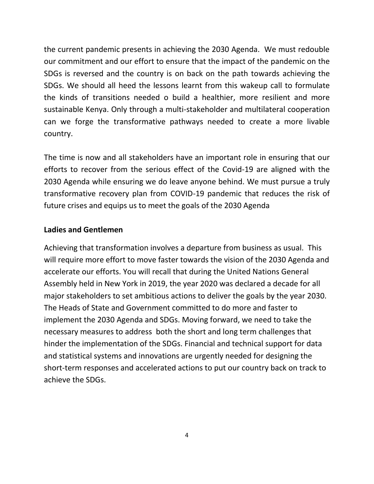the current pandemic presents in achieving the 2030 Agenda. We must redouble our commitment and our effort to ensure that the impact of the pandemic on the SDGs is reversed and the country is on back on the path towards achieving the SDGs. We should all heed the lessons learnt from this wakeup call to formulate the kinds of transitions needed o build a healthier, more resilient and more sustainable Kenya. Only through a multi-stakeholder and multilateral cooperation can we forge the transformative pathways needed to create a more livable country.

The time is now and all stakeholders have an important role in ensuring that our efforts to recover from the serious effect of the Covid-19 are aligned with the 2030 Agenda while ensuring we do leave anyone behind. We must pursue a truly transformative recovery plan from COVID-19 pandemic that reduces the risk of future crises and equips us to meet the goals of the 2030 Agenda

# **Ladies and Gentlemen**

Achieving that transformation involves a departure from business as usual. This will require more effort to move faster towards the vision of the 2030 Agenda and accelerate our efforts. You will recall that during the United Nations General Assembly held in New York in 2019, the year 2020 was declared a decade for all major stakeholders to set ambitious actions to deliver the goals by the year 2030. The Heads of State and Government committed to do more and faster to implement the 2030 Agenda and SDGs. Moving forward, we need to take the necessary measures to address both the short and long term challenges that hinder the implementation of the SDGs. Financial and technical support for data and statistical systems and innovations are urgently needed for designing the short-term responses and accelerated actions to put our country back on track to achieve the SDGs.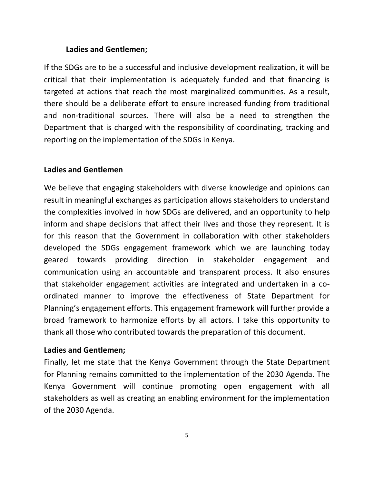#### **Ladies and Gentlemen;**

If the SDGs are to be a successful and inclusive development realization, it will be critical that their implementation is adequately funded and that financing is targeted at actions that reach the most marginalized communities. As a result, there should be a deliberate effort to ensure increased funding from traditional and non-traditional sources. There will also be a need to strengthen the Department that is charged with the responsibility of coordinating, tracking and reporting on the implementation of the SDGs in Kenya.

#### **Ladies and Gentlemen**

We believe that engaging stakeholders with diverse knowledge and opinions can result in meaningful exchanges as participation allows stakeholders to understand the complexities involved in how SDGs are delivered, and an opportunity to help inform and shape decisions that affect their lives and those they represent. It is for this reason that the Government in collaboration with other stakeholders developed the SDGs engagement framework which we are launching today geared towards providing direction in stakeholder engagement and communication using an accountable and transparent process. It also ensures that stakeholder engagement activities are integrated and undertaken in a coordinated manner to improve the effectiveness of State Department for Planning's engagement efforts. This engagement framework will further provide a broad framework to harmonize efforts by all actors. I take this opportunity to thank all those who contributed towards the preparation of this document.

#### **Ladies and Gentlemen;**

Finally, let me state that the Kenya Government through the State Department for Planning remains committed to the implementation of the 2030 Agenda. The Kenya Government will continue promoting open engagement with all stakeholders as well as creating an enabling environment for the implementation of the 2030 Agenda.

5